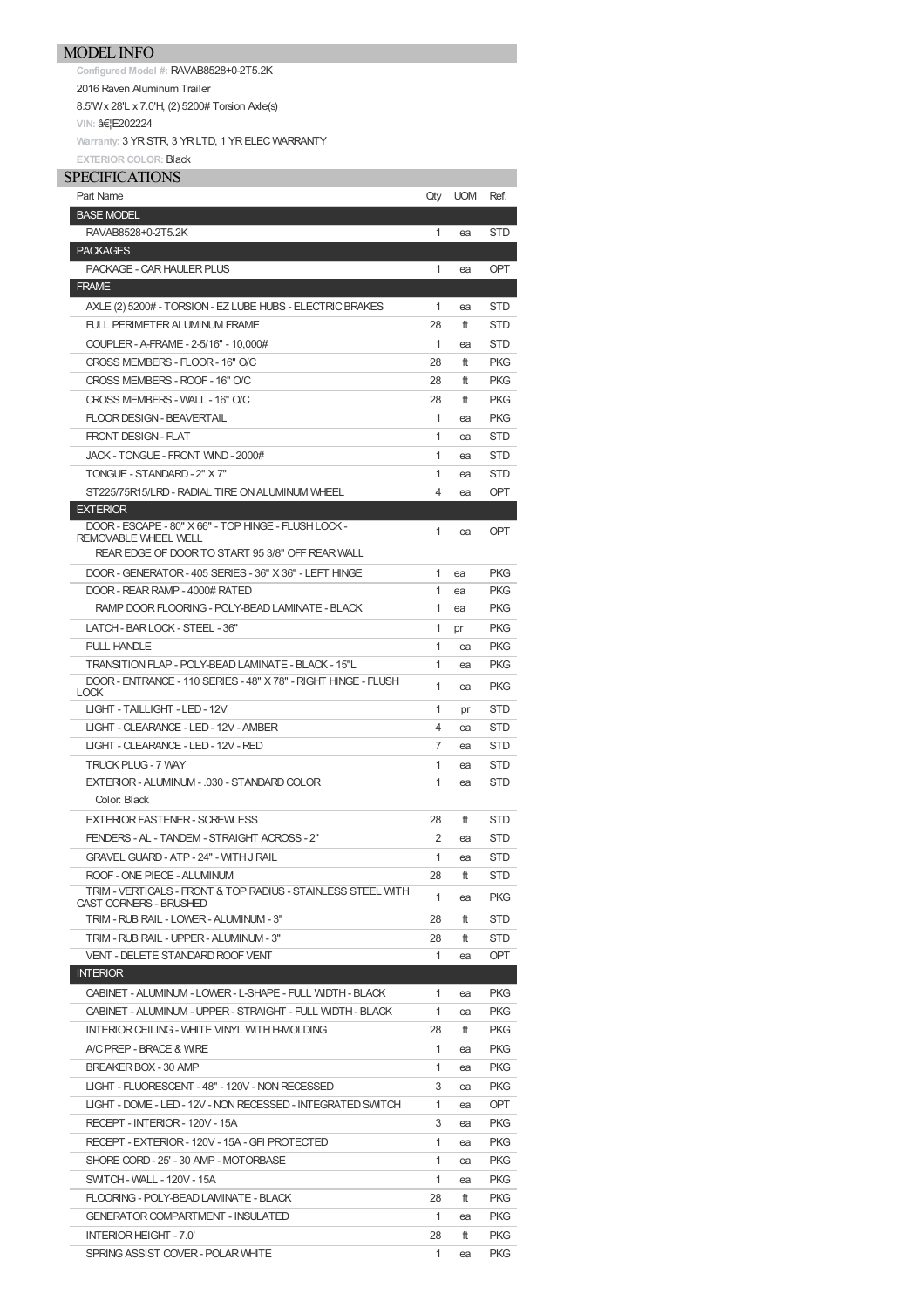## MODEL INFO

**Configured Model #:** RAVAB8528+0-2T5.2K 2016 Raven Aluminum Trailer 8.5'Wx 28'L x 7.0'H, (2) 5200# Torsion Axle(s) **VIN: …E202224** 

**Warranty:** 3 YRSTR, 3 YRLTD, 1 YRELECWARRANTY **EXTERIOR COLOR:** Black

| <b>SPECIFICATIONS</b> |
|-----------------------|
|-----------------------|

| Part Name                                                                     | Qty | <b>UOM</b> | Ref.       |
|-------------------------------------------------------------------------------|-----|------------|------------|
| <b>BASE MODEL</b>                                                             |     |            |            |
| RAVAB8528+0-2T5.2K                                                            | 1   | ea         | STD        |
| <b>PACKAGES</b>                                                               |     |            |            |
| PACKAGE - CAR HAULER PLUS                                                     | 1   | ea         | <b>OPT</b> |
| <b>FRAME</b>                                                                  |     |            |            |
| AXLE (2) 5200# - TORSION - EZ LUBE HUBS - ELECTRIC BRAKES                     | 1   | ea         | STD        |
| <b>FULL PERIMETER ALUMINUM FRAME</b>                                          | 28  | ft         | STD        |
| COUPLER - A-FRAME - 2-5/16" - 10,000#                                         | 1   | ea         | STD        |
| CROSS MEMBERS - FLOOR - 16" O/C                                               | 28  | ft         | <b>PKG</b> |
| CROSS MEMBERS - ROOF - 16" O/C                                                | 28  | ft         | <b>PKG</b> |
| CROSS MEMBERS - WALL - 16" O/C                                                | 28  | ft         | <b>PKG</b> |
| FLOOR DESIGN - BEAVERTAIL                                                     | 1   | ea         | <b>PKG</b> |
| FRONT DESIGN - FLAT                                                           | 1   | ea         | STD        |
| JACK - TONGUE - FRONT WIND - 2000#                                            | 1   | ea         | STD        |
| TONGUE - STANDARD - 2" X 7"                                                   | 1   | ea         | STD        |
| ST225/75R15/LRD - RADIAL TIRE ON ALUMINUM WHEEL                               | 4   | ea         | OPT        |
| <b>EXTERIOR</b>                                                               |     |            |            |
| DOOR - ESCAPE - 80" X 66" - TOP HINGE - FLUSH LOCK -                          | 1   | ea         | OPT        |
| <b>REMOVABLE WHEEL WELL</b>                                                   |     |            |            |
| REAR EDGE OF DOOR TO START 95 3/8" OFF REAR WALL                              |     |            |            |
| DOOR - GENERATOR - 405 SERIES - 36" X 36" - LEFT HINGE                        | 1   | ea         | <b>PKG</b> |
| DOOR - REAR RAMP - 4000# RATED                                                | 1   | ea         | <b>PKG</b> |
| RAMP DOOR FLOORING - POLY-BEAD LAMINATE - BLACK                               | 1   | ea         | <b>PKG</b> |
| LATCH - BAR LOCK - STEEL - 36"                                                | 1   | pr         | <b>PKG</b> |
| PULL HANDLE                                                                   | 1   | ea         | <b>PKG</b> |
| TRANSITION FLAP - POLY-BEAD LAMINATE - BLACK - 15"L                           | 1   | ea         | <b>PKG</b> |
| DOOR - ENTRANCE - 110 SERIES - 48" X 78" - RIGHT HINGE - FLUSH<br><b>LOCK</b> | 1   | ea         | <b>PKG</b> |
| LIGHT - TAILLIGHT - LED - 12V                                                 | 1   | pr         | STD        |
| LIGHT - CLEARANCE - LED - 12V - AMBER                                         | 4   | ea         | STD        |
| LIGHT - CLEARANCE - LED - 12V - RED                                           | 7   | ea         | STD        |
| TRUCK PLUG - 7 WAY                                                            | 1   | ea         | STD        |
| EXTERIOR - ALUMINUM - .030 - STANDARD COLOR                                   | 1   | ea         | STD        |
| Color: Black                                                                  |     |            |            |
| <b>EXTERIOR FASTENER - SCREWLESS</b>                                          | 28  | ft         | <b>STD</b> |
| FENDERS - AL - TANDEM - STRAIGHT ACROSS - 2"                                  | 2   | ea         | STD        |
| <b>GRAVEL GUARD - ATP - 24" - WITH J RAIL</b>                                 | 1   | ea         | <b>STD</b> |
| ROOF - ONE PIECE - ALUMINUM                                                   | 28  | ft         | STD        |
| TRIM - VERTICALS - FRONT & TOP RADIUS - STAINLESS STEEL WITH                  | 1   | ea         | <b>PKG</b> |
| CAST CORNERS - BRUSHED<br>TRIM - RUB RAIL - LOWER - ALUMINUM - 3"             | 28  | ft         | STD        |
| TRIM - RUB RAIL - UPPER - ALUMINUM - 3"                                       | 28  | ft         | STD        |
| VENT - DELETE STANDARD ROOF VENT                                              | 1   | ea         | OPT        |
| <b>INTERIOR</b>                                                               |     |            |            |
| CABINET - ALUMINUM - LOWER - L-SHAPE - FULL WIDTH - BLACK                     | 1   | ea         | <b>PKG</b> |
| CABINET - ALUMINUM - UPPER - STRAIGHT - FULL WIDTH - BLACK                    | 1   | ea         | <b>PKG</b> |
| INTERIOR CEILING - WHITE VINYL WITH H-MOLDING                                 | 28  | ft         | <b>PKG</b> |
| A/C PREP - BRACE & WIRE                                                       | 1   | ea         | PKG        |
| BREAKER BOX - 30 AMP                                                          | 1   | ea         | PKG        |
| LIGHT - FLUORESCENT - 48" - 120V - NON RECESSED                               | 3   | ea         | PKG        |
| LIGHT - DOME - LED - 12V - NON RECESSED - INTEGRATED SWITCH                   | 1   |            | <b>OPT</b> |
| RECEPT - INTERIOR - 120V - 15A                                                | 3   | ea         | <b>PKG</b> |
|                                                                               | 1   | ea         | <b>PKG</b> |
| RECEPT - EXTERIOR - 120V - 15A - GFI PROTECTED                                |     | ea         |            |
| SHORE CORD - 25' - 30 AMP - MOTORBASE                                         | 1   | ea         | <b>PKG</b> |
| SWITCH - WALL - 120V - 15A                                                    | 1   | ea         | <b>PKG</b> |
| FLOORING - POLY-BEAD LAMINATE - BLACK                                         | 28  | ft         | <b>PKG</b> |
| <b>GENERATOR COMPARTMENT - INSULATED</b>                                      | 1   | ea         | <b>PKG</b> |
| INTERIOR HEIGHT - 7.0'                                                        | 28  | ft         | <b>PKG</b> |
| SPRING ASSIST COVER - POLAR WHITE                                             | 1   | ea         | <b>PKG</b> |